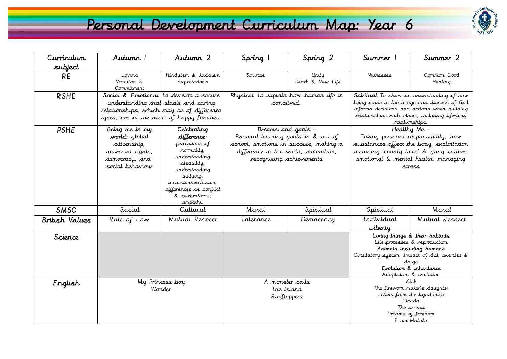## Personal Development Curriculum Map: Year 6



| Curriculum                 | Autunn 1                                                                                                                                                                                                   | Autumn 2                                                                                                                                                                                   | Spring 1                                                                                                                                         | Spring 2                  | Summer 1                                                                                                                                                                                                                           | Summer 2               |
|----------------------------|------------------------------------------------------------------------------------------------------------------------------------------------------------------------------------------------------------|--------------------------------------------------------------------------------------------------------------------------------------------------------------------------------------------|--------------------------------------------------------------------------------------------------------------------------------------------------|---------------------------|------------------------------------------------------------------------------------------------------------------------------------------------------------------------------------------------------------------------------------|------------------------|
| subject                    |                                                                                                                                                                                                            |                                                                                                                                                                                            |                                                                                                                                                  |                           |                                                                                                                                                                                                                                    |                        |
| <b>RE</b>                  | Loving<br>Vocation &<br>Commitment                                                                                                                                                                         | Hinduism & Judaism<br>Expectations                                                                                                                                                         | Sources                                                                                                                                          | Unity<br>Death & New Life | Witnesses                                                                                                                                                                                                                          | Common Good<br>Healing |
| <b>RSHE</b><br><b>PSHE</b> | Social & Emotional To develop a secure<br>understanding that stable and caring<br>relationships, which may be of difference<br>types, are at the heart of happy families.<br>Being me in my<br>Celebrating |                                                                                                                                                                                            | Physical To explain how human life in<br>conceived.<br>Dreams and goals -                                                                        |                           | <b>Spiritual</b> To show an understanding of how<br>being made in the image and likeness of God<br>informs decisions and actions when building<br>relationships with others, including life-long<br>relationships.<br>Healthy Me - |                        |
|                            | world: global<br>citizenship,<br>universal rights,<br>democracy, anti-<br>social behaviour                                                                                                                 | difference:<br>perceptions of<br>rormality,<br>understanding<br>disability,<br>understanding<br>bullying,<br>inclusion/exclusion,<br>differences as conflict<br>& celebrations.<br>empathy | Personal learning goals in & out of<br>school, emotions in success, making a<br>difference in the world, motivation,<br>recognising achievements |                           | Taking personal responsibility, how<br>substances affect the body, exploitation<br>including 'county lines' & gang culture,<br>emotional & mental health, managing<br>stress                                                       |                        |
| <b>SMSC</b>                | Social                                                                                                                                                                                                     | Cultural                                                                                                                                                                                   | Moral                                                                                                                                            | Spiritual                 | Spiritual                                                                                                                                                                                                                          | Moral                  |
| British Values             | Rule of Law                                                                                                                                                                                                | Mutual Respect                                                                                                                                                                             | Tolerance                                                                                                                                        | Democracy                 | Individual<br>Liberty                                                                                                                                                                                                              | Mutual Respect         |
| Science                    |                                                                                                                                                                                                            |                                                                                                                                                                                            |                                                                                                                                                  |                           | Living things & their habitats<br>Life processes & reproduction<br>Animals including humans<br>Circulatory system, impact of diet, exercise &<br>drugs<br>Evolution & inheritance<br>Adaptation & evolution                        |                        |
| English                    | My Princess boy<br>Wonder                                                                                                                                                                                  |                                                                                                                                                                                            | A monster calls<br>The island<br>Rooftoppers                                                                                                     |                           | K i.ck.<br>The firework maker's daughter<br>Letters from the lighthouse<br>Cicada<br>The arrival<br>Dreams of freedom<br>I am Malala                                                                                               |                        |